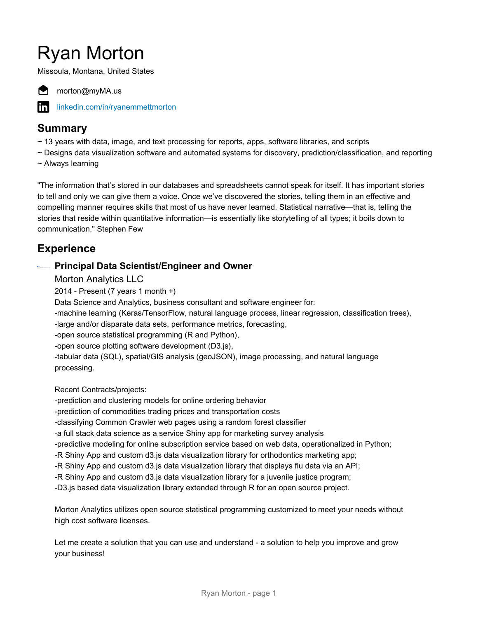# Ryan Morton

Missoula, Montana, United States



morton@myMA.us

[linkedin.com/in/ryanemmettmorton](https://www.linkedin.com/in/ryanemmettmorton)

#### **Summary**

- ~ 13 years with data, image, and text processing for reports, apps, software libraries, and scripts
- ~ Designs data visualization software and automated systems for discovery, prediction/classification, and reporting
- ~ Always learning

"The information that's stored in our databases and spreadsheets cannot speak for itself. It has important stories to tell and only we can give them a voice. Once we've discovered the stories, telling them in an effective and compelling manner requires skills that most of us have never learned. Statistical narrative—that is, telling the stories that reside within quantitative information—is essentially like storytelling of all types; it boils down to communication." Stephen Few

# **Experience**

#### **Principal Data Scientist/Engineer and Owner**

Morton Analytics LLC

2014 - Present (7 years 1 month +)

Data Science and Analytics, business consultant and software engineer for:

-machine learning (Keras/TensorFlow, natural language process, linear regression, classification trees),

-large and/or disparate data sets, performance metrics, forecasting,

-open source statistical programming (R and Python),

-open source plotting software development (D3.js),

-tabular data (SQL), spatial/GIS analysis (geoJSON), image processing, and natural language processing.

Recent Contracts/projects:

-prediction and clustering models for online ordering behavior

-prediction of commodities trading prices and transportation costs

-classifying Common Crawler web pages using a random forest classifier

-a full stack data science as a service Shiny app for marketing survey analysis

-predictive modeling for online subscription service based on web data, operationalized in Python;

-R Shiny App and custom d3.js data visualization library for orthodontics marketing app;

-R Shiny App and custom d3.js data visualization library that displays flu data via an API;

-R Shiny App and custom d3.js data visualization library for a juvenile justice program;

-D3.js based data visualization library extended through R for an open source project.

Morton Analytics utilizes open source statistical programming customized to meet your needs without high cost software licenses.

Let me create a solution that you can use and understand - a solution to help you improve and grow your business!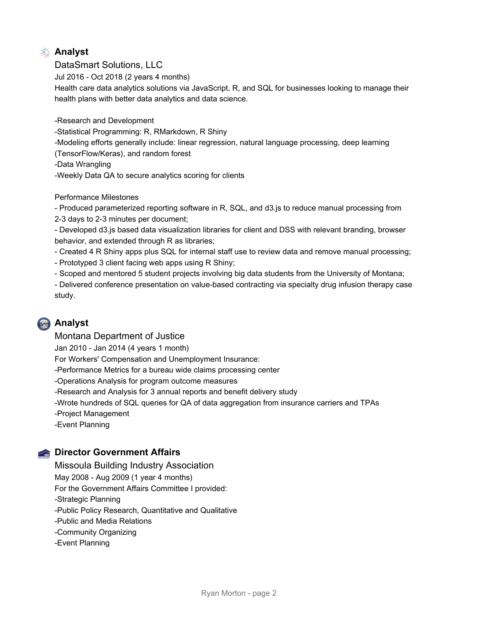#### **Analyst**

#### DataSmart Solutions, LLC

Jul 2016 - Oct 2018 (2 years 4 months)

Health care data analytics solutions via JavaScript, R, and SQL for businesses looking to manage their health plans with better data analytics and data science.

-Research and Development

-Statistical Programming: R, RMarkdown, R Shiny

-Modeling efforts generally include: linear regression, natural language processing, deep learning

(TensorFlow/Keras), and random forest

-Data Wrangling

-Weekly Data QA to secure analytics scoring for clients

Performance Milestones

- Produced parameterized reporting software in R, SQL, and d3.js to reduce manual processing from 2-3 days to 2-3 minutes per document;

- Developed d3.js based data visualization libraries for client and DSS with relevant branding, browser behavior, and extended through R as libraries;

- Created 4 R Shiny apps plus SQL for internal staff use to review data and remove manual processing;

- Prototyped 3 client facing web apps using R Shiny;

- Scoped and mentored 5 student projects involving big data students from the University of Montana;

- Delivered conference presentation on value-based contracting via specialty drug infusion therapy case study.

# **Analyst**

#### Montana Department of Justice

Jan 2010 - Jan 2014 (4 years 1 month)

For Workers' Compensation and Unemployment Insurance:

-Performance Metrics for a bureau wide claims processing center

-Operations Analysis for program outcome measures

-Research and Analysis for 3 annual reports and benefit delivery study

-Wrote hundreds of SQL queries for QA of data aggregation from insurance carriers and TPAs

-Project Management

-Event Planning

#### **Construction Government Affairs**

Missoula Building Industry Association

May 2008 - Aug 2009 (1 year 4 months)

For the Government Affairs Committee I provided:

-Strategic Planning

-Public Policy Research, Quantitative and Qualitative

-Public and Media Relations

-Community Organizing

-Event Planning